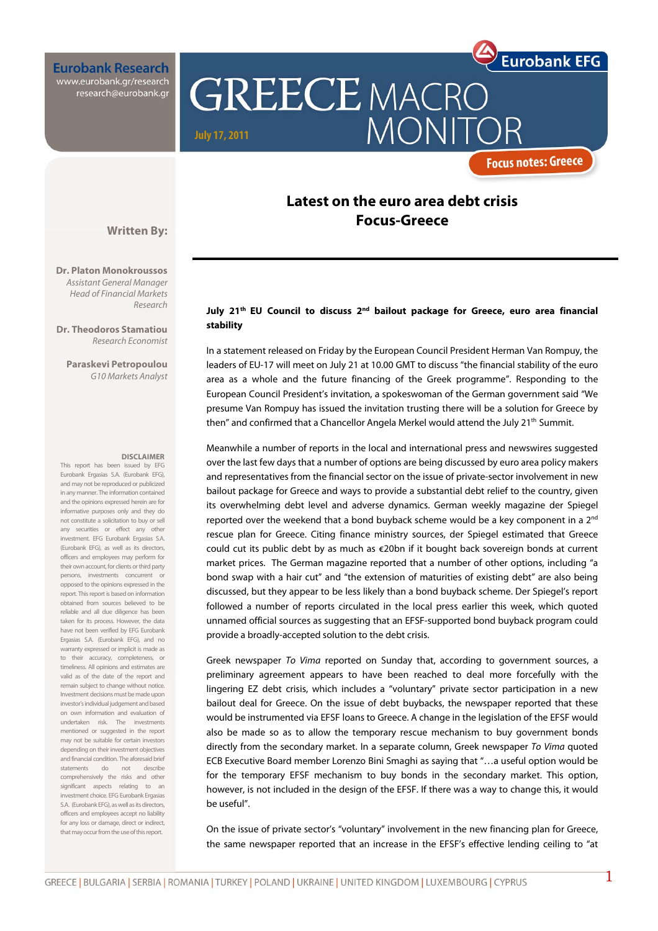**Eurobank Research** www.eurobank.gr/research research@eurobank.gr

# **GREECE MACRO MONIT July 17, 2011**

### **Focus notes: Greece**

**Eurobank EFG** 

### **Latest on the euro area debt crisis Focus-Greece**

**Written By:** 

**Dr. Platon Monokroussos**  Assistant General Manager Head of Financial Markets Research

**Dr. Theodoros Stamatiou**  Research Economist

**Paraskevi Petropoulou**  G10 Markets Analyst

#### **DISCLAIMER**

This report has been issued by EFG Eurobank Ergasias S.A. (Eurobank EFG), and may not be reproduced or publicized in any manner. The information contained and the opinions expressed herein are for informative purposes only and they do not constitute a solicitation to buy or sell any securities or effect any other investment. EFG Eurobank Ergasias S.A. (Eurobank EFG), as well as its directors, officers and employees may perform for their own account, for clients or third party persons, investments concurrent or opposed to the opinions expressed in the report. This report is based on information obtained from sources believed to be reliable and all due diligence has been taken for its process. However, the data have not been verified by EFG Eurobank Ergasias S.A. (Eurobank EFG), and no warranty expressed or implicit is made as to their accuracy, completeness, or timeliness. All opinions and estimates are valid as of the date of the report and remain subject to change without notice. Investment decisions must be made upon investor's individual judgement and based on own information and evaluation of undertaken risk. The investments mentioned or suggested in the report may not be suitable for certain investors depending on their investment objectives and financial condition. The aforesaid brief statements do not describe comprehensively the risks and other significant aspects relating to an investment choice. EFG Eurobank Ergasias S.A. (Eurobank EFG), as well as its directors, officers and employees accept no liability for any loss or damage, direct or indirect, that may occur from the use of this report.

### July 21<sup>th</sup> EU Council to discuss 2<sup>nd</sup> bailout package for Greece, euro area financial **stability**

In a statement released on Friday by the European Council President Herman Van Rompuy, the leaders of EU-17 will meet on July 21 at 10.00 GMT to discuss "the financial stability of the euro area as a whole and the future financing of the Greek programme". Responding to the European Council President's invitation, a spokeswoman of the German government said "We presume Van Rompuy has issued the invitation trusting there will be a solution for Greece by then" and confirmed that a Chancellor Angela Merkel would attend the July  $21<sup>th</sup>$  Summit.

Meanwhile a number of reports in the local and international press and newswires suggested over the last few days that a number of options are being discussed by euro area policy makers and representatives from the financial sector on the issue of private-sector involvement in new bailout package for Greece and ways to provide a substantial debt relief to the country, given its overwhelming debt level and adverse dynamics. German weekly magazine der Spiegel reported over the weekend that a bond buyback scheme would be a key component in a  $2<sup>nd</sup>$ rescue plan for Greece. Citing finance ministry sources, der Spiegel estimated that Greece could cut its public debt by as much as €20bn if it bought back sovereign bonds at current market prices. The German magazine reported that a number of other options, including "a bond swap with a hair cut" and "the extension of maturities of existing debt" are also being discussed, but they appear to be less likely than a bond buyback scheme. Der Spiegel's report followed a number of reports circulated in the local press earlier this week, which quoted unnamed official sources as suggesting that an EFSF-supported bond buyback program could provide a broadly-accepted solution to the debt crisis.

Greek newspaper To Vima reported on Sunday that, according to government sources, a preliminary agreement appears to have been reached to deal more forcefully with the lingering EZ debt crisis, which includes a "voluntary" private sector participation in a new bailout deal for Greece. On the issue of debt buybacks, the newspaper reported that these would be instrumented via EFSF loans to Greece. A change in the legislation of the EFSF would also be made so as to allow the temporary rescue mechanism to buy government bonds directly from the secondary market. In a separate column, Greek newspaper To Vima quoted ECB Executive Board member Lorenzo Bini Smaghi as saying that "…a useful option would be for the temporary EFSF mechanism to buy bonds in the secondary market. This option, however, is not included in the design of the EFSF. If there was a way to change this, it would be useful".

On the issue of private sector's "voluntary" involvement in the new financing plan for Greece, the same newspaper reported that an increase in the EFSF's effective lending ceiling to "at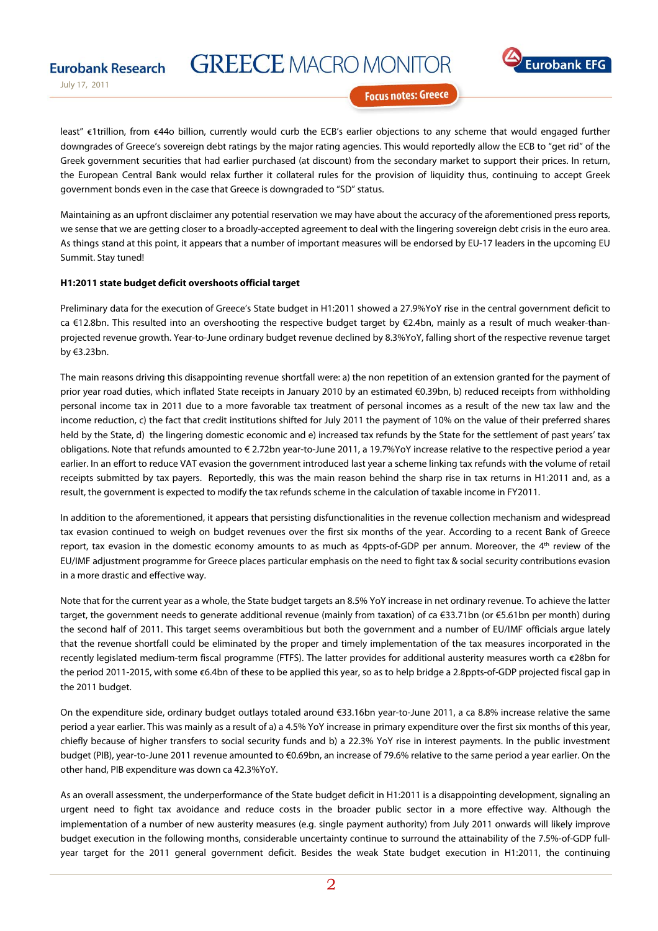# **GREECE MACRO MONITOR**



July 17, 2011

**Eurobank Research** 

**Focus notes: Greece** 

 least" €1trillion, from €44o billion, currently would curb the ECB's earlier objections to any scheme that would engaged further downgrades of Greece's sovereign debt ratings by the major rating agencies. This would reportedly allow the ECB to "get rid" of the Greek government securities that had earlier purchased (at discount) from the secondary market to support their prices. In return, the European Central Bank would relax further it collateral rules for the provision of liquidity thus, continuing to accept Greek government bonds even in the case that Greece is downgraded to "SD" status.

Maintaining as an upfront disclaimer any potential reservation we may have about the accuracy of the aforementioned press reports, we sense that we are getting closer to a broadly-accepted agreement to deal with the lingering sovereign debt crisis in the euro area. As things stand at this point, it appears that a number of important measures will be endorsed by EU-17 leaders in the upcoming EU Summit. Stay tuned!

#### **H1:2011 state budget deficit overshoots official target**

Preliminary data for the execution of Greece's State budget in H1:2011 showed a 27.9%YoY rise in the central government deficit to ca €12.8bn. This resulted into an overshooting the respective budget target by €2.4bn, mainly as a result of much weaker-thanprojected revenue growth. Year-to-June ordinary budget revenue declined by 8.3%YoY, falling short of the respective revenue target by €3.23bn.

The main reasons driving this disappointing revenue shortfall were: a) the non repetition of an extension granted for the payment of prior year road duties, which inflated State receipts in January 2010 by an estimated €0.39bn, b) reduced receipts from withholding personal income tax in 2011 due to a more favorable tax treatment of personal incomes as a result of the new tax law and the income reduction, c) the fact that credit institutions shifted for July 2011 the payment of 10% on the value of their preferred shares held by the State, d) the lingering domestic economic and e) increased tax refunds by the State for the settlement of past years' tax obligations. Note that refunds amounted to € 2.72bn year-to-June 2011, a 19.7%YoY increase relative to the respective period a year earlier. In an effort to reduce VAT evasion the government introduced last year a scheme linking tax refunds with the volume of retail receipts submitted by tax payers. Reportedly, this was the main reason behind the sharp rise in tax returns in H1:2011 and, as a result, the government is expected to modify the tax refunds scheme in the calculation of taxable income in FY2011.

In addition to the aforementioned, it appears that persisting disfunctionalities in the revenue collection mechanism and widespread tax evasion continued to weigh on budget revenues over the first six months of the year. According to a recent Bank of Greece report, tax evasion in the domestic economy amounts to as much as 4ppts-of-GDP per annum. Moreover, the 4<sup>th</sup> review of the EU/IMF adjustment programme for Greece places particular emphasis on the need to fight tax & social security contributions evasion in a more drastic and effective way.

Note that for the current year as a whole, the State budget targets an 8.5% YoY increase in net ordinary revenue. To achieve the latter target, the government needs to generate additional revenue (mainly from taxation) of ca €33.71bn (or €5.61bn per month) during the second half of 2011. This target seems overambitious but both the government and a number of EU/IMF officials argue lately that the revenue shortfall could be eliminated by the proper and timely implementation of the tax measures incorporated in the recently legislated medium-term fiscal programme (FTFS). The latter provides for additional austerity measures worth ca €28bn for the period 2011-2015, with some €6.4bn of these to be applied this year, so as to help bridge a 2.8ppts-of-GDP projected fiscal gap in the 2011 budget.

On the expenditure side, ordinary budget outlays totaled around €33.16bn year-to-June 2011, a ca 8.8% increase relative the same period a year earlier. This was mainly as a result of a) a 4.5% YoY increase in primary expenditure over the first six months of this year, chiefly because of higher transfers to social security funds and b) a 22.3% YoY rise in interest payments. In the public investment budget (PIB), year-to-June 2011 revenue amounted to €0.69bn, an increase of 79.6% relative to the same period a year earlier. On the other hand, PIB expenditure was down ca 42.3%YoY.

As an overall assessment, the underperformance of the State budget deficit in H1:2011 is a disappointing development, signaling an urgent need to fight tax avoidance and reduce costs in the broader public sector in a more effective way. Although the implementation of a number of new austerity measures (e.g. single payment authority) from July 2011 onwards will likely improve budget execution in the following months, considerable uncertainty continue to surround the attainability of the 7.5%-of-GDP fullyear target for the 2011 general government deficit. Besides the weak State budget execution in H1:2011, the continuing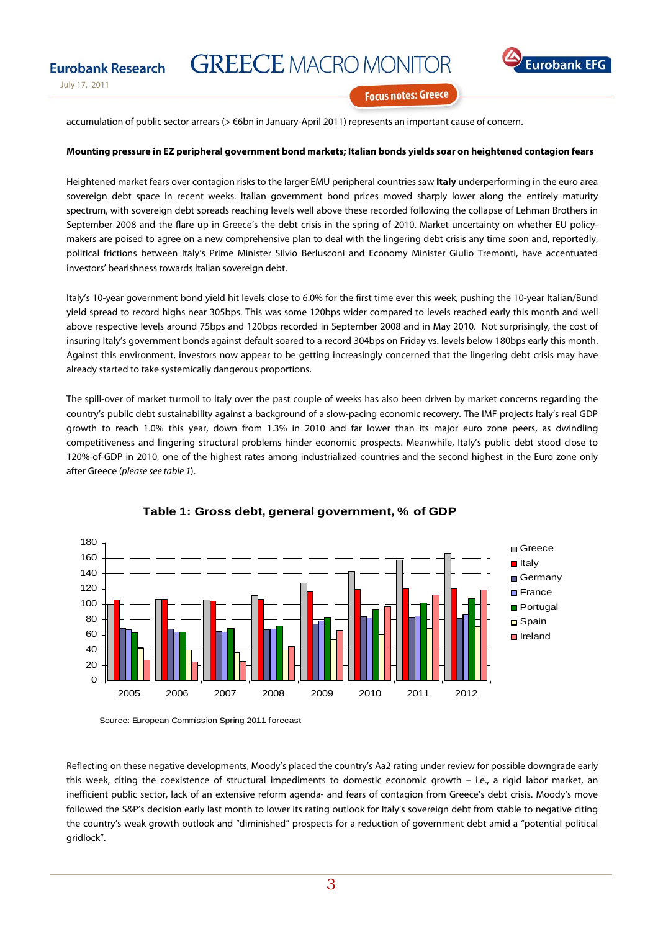

**Eurobank Research** 

**Eurobank** 

**Focus notes: Greece** 

accumulation of public sector arrears (> €6bn in January-April 2011) represents an important cause of concern.

#### **Mounting pressure in EZ peripheral government bond markets; Italian bonds yields soar on heightened contagion fears**

Heightened market fears over contagion risks to the larger EMU peripheral countries saw **Italy** underperforming in the euro area sovereign debt space in recent weeks. Italian government bond prices moved sharply lower along the entirely maturity spectrum, with sovereign debt spreads reaching levels well above these recorded following the collapse of Lehman Brothers in September 2008 and the flare up in Greece's the debt crisis in the spring of 2010. Market uncertainty on whether EU policymakers are poised to agree on a new comprehensive plan to deal with the lingering debt crisis any time soon and, reportedly, political frictions between Italy's Prime Minister Silvio Berlusconi and Economy Minister Giulio Tremonti, have accentuated investors' bearishness towards Italian sovereign debt.

Italy's 10-year government bond yield hit levels close to 6.0% for the first time ever this week, pushing the 10-year Italian/Bund yield spread to record highs near 305bps. This was some 120bps wider compared to levels reached early this month and well above respective levels around 75bps and 120bps recorded in September 2008 and in May 2010. Not surprisingly, the cost of insuring Italy's government bonds against default soared to a record 304bps on Friday vs. levels below 180bps early this month. Against this environment, investors now appear to be getting increasingly concerned that the lingering debt crisis may have already started to take systemically dangerous proportions.

The spill-over of market turmoil to Italy over the past couple of weeks has also been driven by market concerns regarding the country's public debt sustainability against a background of a slow-pacing economic recovery. The IMF projects Italy's real GDP growth to reach 1.0% this year, down from 1.3% in 2010 and far lower than its major euro zone peers, as dwindling competitiveness and lingering structural problems hinder economic prospects. Meanwhile, Italy's public debt stood close to 120%-of-GDP in 2010, one of the highest rates among industrialized countries and the second highest in the Euro zone only after Greece (please see table 1).



#### **Table 1: Gross debt, general government, % of GDP**

Source: European Commission Spring 2011 forecast

Reflecting on these negative developments, Moody's placed the country's Aa2 rating under review for possible downgrade early this week, citing the coexistence of structural impediments to domestic economic growth – i.e., a rigid labor market, an inefficient public sector, lack of an extensive reform agenda- and fears of contagion from Greece's debt crisis. Moody's move followed the S&P's decision early last month to lower its rating outlook for Italy's sovereign debt from stable to negative citing the country's weak growth outlook and "diminished" prospects for a reduction of government debt amid a "potential political gridlock".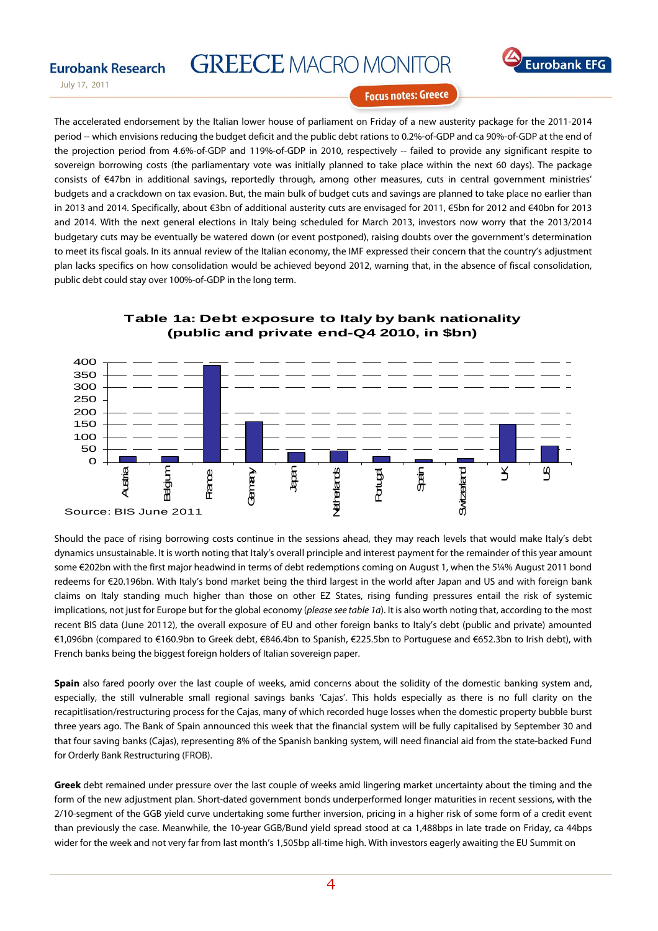# **GREECE MACRO MONITOR**



July 17, 2011

**Eurobank Research** 

**Focus notes: Greece** 

The accelerated endorsement by the Italian lower house of parliament on Friday of a new austerity package for the 2011-2014 period -- which envisions reducing the budget deficit and the public debt rations to 0.2%-of-GDP and ca 90%-of-GDP at the end of the projection period from 4.6%-of-GDP and 119%-of-GDP in 2010, respectively -- failed to provide any significant respite to sovereign borrowing costs (the parliamentary vote was initially planned to take place within the next 60 days). The package consists of €47bn in additional savings, reportedly through, among other measures, cuts in central government ministries' budgets and a crackdown on tax evasion. But, the main bulk of budget cuts and savings are planned to take place no earlier than in 2013 and 2014. Specifically, about €3bn of additional austerity cuts are envisaged for 2011, €5bn for 2012 and €40bn for 2013 and 2014. With the next general elections in Italy being scheduled for March 2013, investors now worry that the 2013/2014 budgetary cuts may be eventually be watered down (or event postponed), raising doubts over the government's determination to meet its fiscal goals. In its annual review of the Italian economy, the IMF expressed their concern that the country's adjustment plan lacks specifics on how consolidation would be achieved beyond 2012, warning that, in the absence of fiscal consolidation, public debt could stay over 100%-of-GDP in the long term.



### **Table 1a: Debt exposure to Italy by bank nationality (public and private end-Q4 2010, in \$bn)**

Should the pace of rising borrowing costs continue in the sessions ahead, they may reach levels that would make Italy's debt dynamics unsustainable. It is worth noting that Italy's overall principle and interest payment for the remainder of this year amount some €202bn with the first major headwind in terms of debt redemptions coming on August 1, when the 5¼% August 2011 bond redeems for €20.196bn. With Italy's bond market being the third largest in the world after Japan and US and with foreign bank claims on Italy standing much higher than those on other EZ States, rising funding pressures entail the risk of systemic implications, not just for Europe but for the global economy (please see table 1a). It is also worth noting that, according to the most recent BIS data (June 20112), the overall exposure of EU and other foreign banks to Italy's debt (public and private) amounted €1,096bn (compared to €160.9bn to Greek debt, €846.4bn to Spanish, €225.5bn to Portuguese and €652.3bn to Irish debt), with French banks being the biggest foreign holders of Italian sovereign paper.

**Spain** also fared poorly over the last couple of weeks, amid concerns about the solidity of the domestic banking system and, especially, the still vulnerable small regional savings banks 'Cajas'. This holds especially as there is no full clarity on the recapitlisation/restructuring process for the Cajas, many of which recorded huge losses when the domestic property bubble burst three years ago. The Bank of Spain announced this week that the financial system will be fully capitalised by September 30 and that four saving banks (Cajas), representing 8% of the Spanish banking system, will need financial aid from the state-backed Fund for Orderly Bank Restructuring (FROB).

**Greek** debt remained under pressure over the last couple of weeks amid lingering market uncertainty about the timing and the form of the new adjustment plan. Short-dated government bonds underperformed longer maturities in recent sessions, with the 2/10-segment of the GGB yield curve undertaking some further inversion, pricing in a higher risk of some form of a credit event than previously the case. Meanwhile, the 10-year GGB/Bund yield spread stood at ca 1,488bps in late trade on Friday, ca 44bps wider for the week and not very far from last month's 1,505bp all-time high. With investors eagerly awaiting the EU Summit on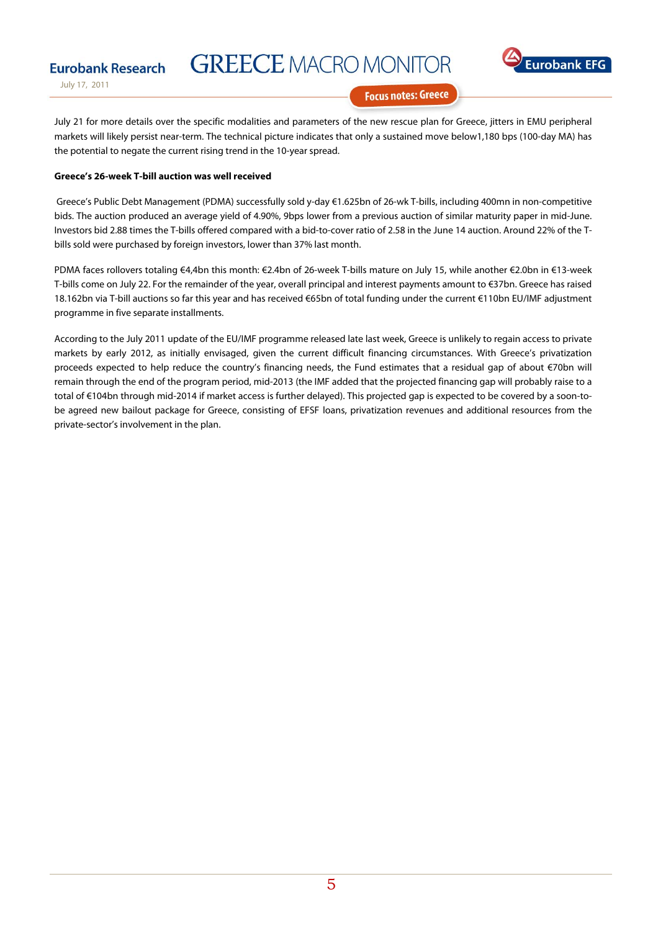# **GREECE MACRO MONITOR**



July 17, 2011

**Eurobank Research** 

**Focus notes: Greece** 

July 21 for more details over the specific modalities and parameters of the new rescue plan for Greece, jitters in EMU peripheral markets will likely persist near-term. The technical picture indicates that only a sustained move below1,180 bps (100-day MA) has the potential to negate the current rising trend in the 10-year spread.

#### **Greece's 26-week T-bill auction was well received**

 Greece's Public Debt Management (PDMA) successfully sold y-day €1.625bn of 26-wk T-bills, including 400mn in non-competitive bids. The auction produced an average yield of 4.90%, 9bps lower from a previous auction of similar maturity paper in mid-June. Investors bid 2.88 times the T-bills offered compared with a bid-to-cover ratio of 2.58 in the June 14 auction. Around 22% of the Tbills sold were purchased by foreign investors, lower than 37% last month.

PDMA faces rollovers totaling €4,4bn this month: €2.4bn of 26-week T-bills mature on July 15, while another €2.0bn in €13-week T-bills come on July 22. For the remainder of the year, overall principal and interest payments amount to €37bn. Greece has raised 18.162bn via T-bill auctions so far this year and has received €65bn of total funding under the current €110bn EU/IMF adjustment programme in five separate installments.

According to the July 2011 update of the EU/IMF programme released late last week, Greece is unlikely to regain access to private markets by early 2012, as initially envisaged, given the current difficult financing circumstances. With Greece's privatization proceeds expected to help reduce the country's financing needs, the Fund estimates that a residual gap of about €70bn will remain through the end of the program period, mid-2013 (the IMF added that the projected financing gap will probably raise to a total of €104bn through mid-2014 if market access is further delayed). This projected gap is expected to be covered by a soon-tobe agreed new bailout package for Greece, consisting of EFSF loans, privatization revenues and additional resources from the private-sector's involvement in the plan.